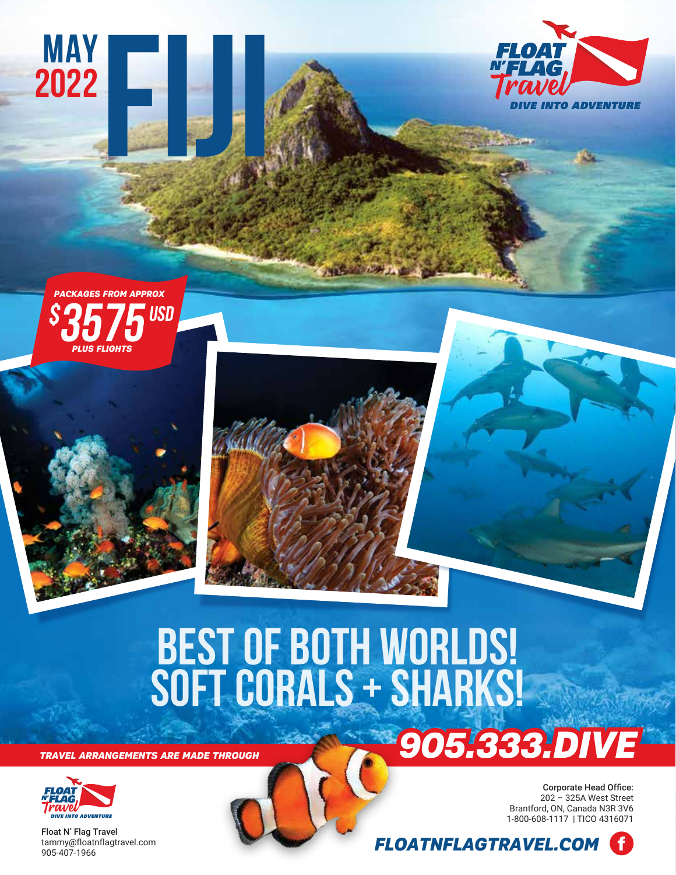



**MAY**

**2022**

**FIJI**

# **BEST OF BOTH WORLDS! SOFT CORALS + SHARKS!**

Article

*TRAVEL ARRANGEMENTS ARE MADE THROUGH*



Float N' Flag Travel tammy@floatnflagtravel.com 905-407-1966

Corporate Head Office: 202 – 325A West Street Brantford, ON, Canada N3R 3V6 **DIVE INTO ADVENTURE 1-800-608-1117** | TICO 4316071



905.333.DIVE